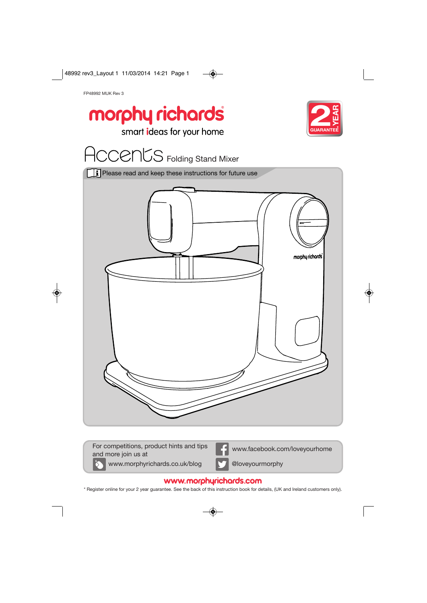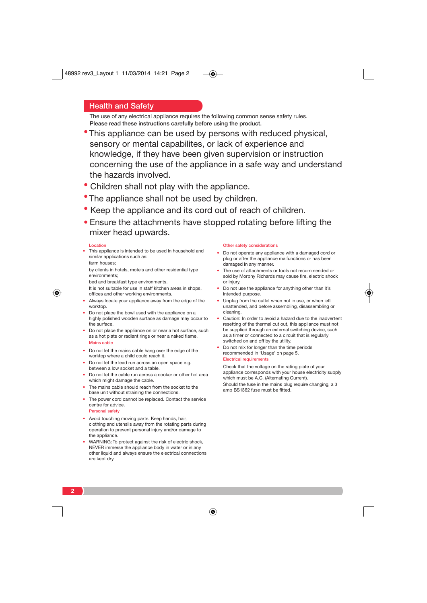## Health and Safety

The use of any electrical appliance requires the following common sense safety rules. Please read these instructions carefully before using the product.

- This appliance can be used by persons with reduced physical, sensory or mental capabilites, or lack of experience and knowledge, if they have been given supervision or instruction concerning the use of the appliance in a safe way and understand the hazards involved.
- Children shall not play with the appliance.
- The appliance shall not be used by children.
- Keep the appliance and its cord out of reach of children.
- Ensure the attachments have stopped rotating before lifting the mixer head upwards.

 $\circledast$ 

#### Location

- This appliance is intended to be used in household and similar applications such as:
	- farm houses;

Personal safety

by clients in hotels, motels and other residential type environments;

- bed and breakfast type environments.
- It is not suitable for use in staff kitchen areas in shops, offices and other working environments.
- Always locate your appliance away from the edge of the worktop.
- Do not place the bowl used with the appliance on a highly polished wooden surface as damage may occur to the surface.
- Do not place the appliance on or near a hot surface, such as a hot plate or radiant rings or near a naked flame. Mains cable
- Do not let the mains cable hang over the edge of the worktop where a child could reach it.
- Do not let the lead run across an open space e.g. between a low socket and a table.
- Do not let the cable run across a cooker or other hot area which might damage the cable.
- The mains cable should reach from the socket to the base unit without straining the connections.
- The power cord cannot be replaced. Contact the service centre for advice.
- Avoid touching moving parts. Keep hands, hair, clothing and utensils away from the rotating parts during operation to prevent personal injury and/or damage to the appliance.
- WARNING: To protect against the risk of electric shock, NEVER immerse the appliance body in water or in any other liquid and always ensure the electrical connections are kept dry.

#### Other safety considerations

- Do not operate any appliance with a damaged cord or plug or after the appliance malfunctions or has been damaged in any manner.
- The use of attachments or tools not recommended or sold by Morphy Richards may cause fire, electric shock or injury.
- Do not use the appliance for anything other than it's intended purpose.
- Unplug from the outlet when not in use, or when left unattended, and before assembling, disassembling or cleaning.
- Caution: In order to avoid a hazard due to the inadvertent resetting of the thermal cut out, this appliance must not be supplied through an external switching device, such as a timer or connected to a circuit that is regularly switched on and off by the utility.
- Do not mix for longer than the time periods recommended in 'Usage' on page 5. Electrical requirements

Check that the voltage on the rating plate of your appliance corresponds with your house electricity supply which must be A.C. (Alternating Current). Should the fuse in the mains plug require changing, a 3 amp BS1362 fuse must be fitted.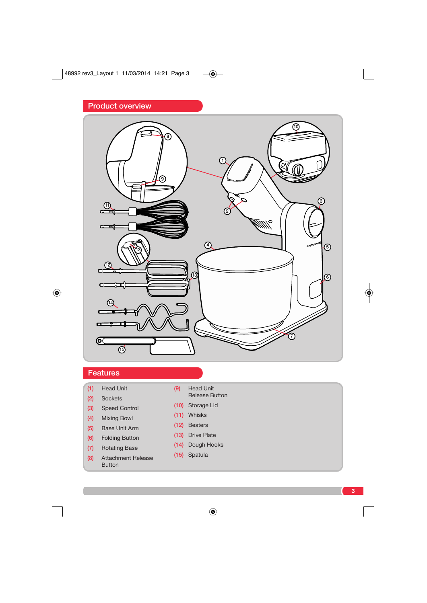

 $\overline{\bullet}$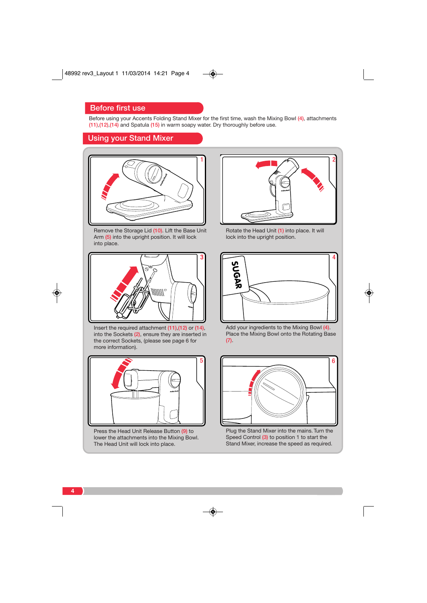# Before first use

Before using your Accents Folding Stand Mixer for the first time, wash the Mixing Bowl (4), attachments (11),(12),(14) and Spatula (15) in warm soapy water. Dry thoroughly before use.

 $\color{red} \bigcirc$ 

 $\overline{\bullet}$ 

Using your Stand Mixer



Remove the Storage Lid (10). Lift the Base Unit Arm (5) into the upright position. It will lock into place.



Insert the required attachment (11),(12) or (14), into the Sockets (2), ensure they are inserted in the correct Sockets, (please see page 6 for more information).



Press the Head Unit Release Button (9) to lower the attachments into the Mixing Bowl. The Head Unit will lock into place.



Rotate the Head Unit (1) into place. It will lock into the upright position.



Add your ingredients to the Mixing Bowl (4). Place the Mixing Bowl onto the Rotating Base (7).



Plug the Stand Mixer into the mains. Turn the Speed Control (3) to position 1 to start the Stand Mixer, increase the speed as required.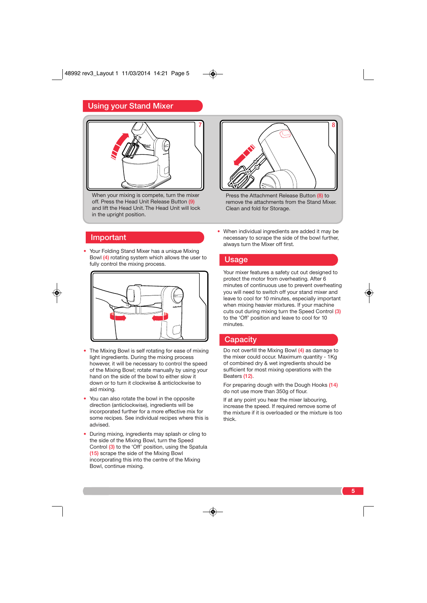# Using your Stand Mixer



When your mixing is compete, turn the mixer off. Press the Head Unit Release Button (9) and lift the Head Unit. The Head Unit will lock in the upright position.

## Important

• Your Folding Stand Mixer has a unique Mixing Bowl (4) rotating system which allows the user to fully control the mixing process.



- The Mixing Bowl is self rotating for ease of mixing light ingredients. During the mixing process however, it will be necessary to control the speed of the Mixing Bowl; rotate manually by using your hand on the side of the bowl to either slow it down or to turn it clockwise & anticlockwise to aid mixing.
- You can also rotate the bowl in the opposite direction (anticlockwise), ingredients will be incorporated further for a more effective mix for some recipes. See individual recipes where this is advised.
- During mixing, ingredients may splash or cling to the side of the Mixing Bowl, turn the Speed Control (3) to the 'Off' position, using the Spatula (15) scrape the side of the Mixing Bowl incorporating this into the centre of the Mixing Bowl, continue mixing.



Press the Attachment Release Button (8) to remove the attachments from the Stand Mixer. Clean and fold for Storage.

• When individual ingredients are added it may be necessary to scrape the side of the bowl further, always turn the Mixer off first.

### Usage

Your mixer features a safety cut out designed to protect the motor from overheating. After 6 minutes of continuous use to prevent overheating you will need to switch off your stand mixer and leave to cool for 10 minutes, especially important when mixing heavier mixtures. If your machine cuts out during mixing turn the Speed Control (3) to the 'Off' position and leave to cool for 10 minutes.

## **Capacity**

 $\circledast$ 

Do not overfill the Mixing Bowl (4) as damage to the mixer could occur. Maximum quantity - 1Kg of combined dry & wet ingredients should be sufficient for most mixing operations with the Beaters (12).

For preparing dough with the Dough Hooks (14) do not use more than 350g of flour.

If at any point you hear the mixer labouring, increase the speed. If required remove some of the mixture if it is overloaded or the mixture is too thick.

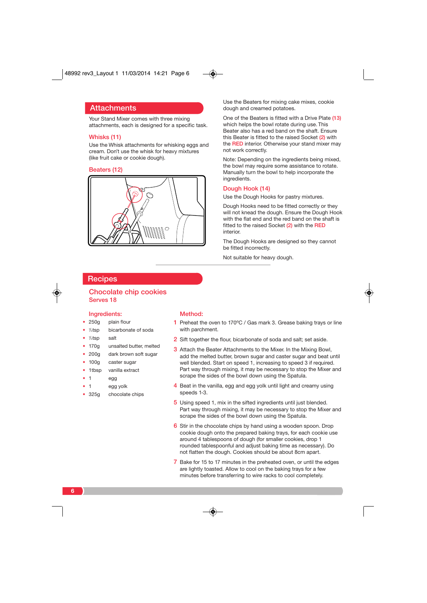

## **Attachments**

Your Stand Mixer comes with three mixing attachments, each is designed for a specific task.

## Whisks (11)

Use the Whisk attachments for whisking eggs and cream. Don't use the whisk for heavy mixtures (like fruit cake or cookie dough).

#### Beaters (12)



Use the Beaters for mixing cake mixes, cookie dough and creamed potatoes.

One of the Beaters is fitted with a Drive Plate (13) which helps the bowl rotate during use. This Beater also has a red band on the shaft. Ensure this Beater is fitted to the raised Socket (2) with the RED interior. Otherwise your stand mixer may not work correctly.

Note: Depending on the ingredients being mixed, the bowl may require some assistance to rotate. Manually turn the bowl to help incorporate the ingredients.

### Dough Hook (14)

◈

Use the Dough Hooks for pastry mixtures.

Dough Hooks need to be fitted correctly or they will not knead the dough. Ensure the Dough Hook with the flat end and the red band on the shaft is fitted to the raised Socket (2) with the RED interior.

The Dough Hooks are designed so they cannot be fitted incorrectly.

Not suitable for heavy dough.

## **Recipes**

## Chocolate chip cookies Serves 18

## Ingredients:

- 250g plain flour
- $\frac{1}{2}$ tsp bicarbonate of soda
- 1 /2tsp salt
- 170g unsalted butter, melted
- 200g dark brown soft sugar
- 100g caster sugar
- 1tbsp vanilla extract
- 1 egg
- 1 egg yolk
- 325q chocolate chips

#### Method:

- 1 Preheat the oven to  $170^{\circ}$ C / Gas mark 3. Grease baking trays or line with parchment.
- 2 Sift together the flour, bicarbonate of soda and salt; set aside.
- 3 Attach the Beater Attachments to the Mixer. In the Mixing Bowl, add the melted butter, brown sugar and caster sugar and beat until well blended. Start on speed 1, increasing to speed 3 if required. Part way through mixing, it may be necessary to stop the Mixer and scrape the sides of the bowl down using the Spatula.
- 4 Beat in the vanilla, egg and egg yolk until light and creamy using speeds 1-3.
- 5 Using speed 1, mix in the sifted ingredients until just blended. Part way through mixing, it may be necessary to stop the Mixer and scrape the sides of the bowl down using the Spatula.
- 6 Stir in the chocolate chips by hand using a wooden spoon. Drop cookie dough onto the prepared baking trays, for each cookie use around 4 tablespoons of dough (for smaller cookies, drop 1 rounded tablespoonful and adjust baking time as necessary). Do not flatten the dough. Cookies should be about 8cm apart.
- 7 Bake for 15 to 17 minutes in the preheated oven, or until the edges are lightly toasted. Allow to cool on the baking trays for a few minutes before transferring to wire racks to cool completely.

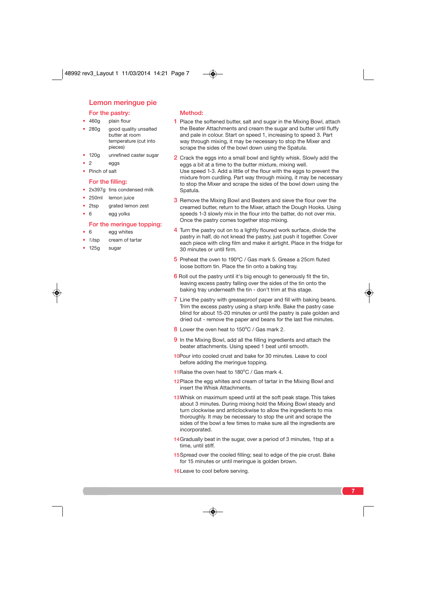## Lemon meringue pie

## For the pastry:

## • 460g plain flour

- 280g good quality unsalted butter at room temperature (cut into pieces)
- 120g unrefined caster sugar
- $\bullet$  2 eggs
- Pinch of salt

#### For the filling:

- 2x397g tins condensed milk
- 250ml lemon juice
- 2tsp arated lemon zest
- 6 egg yolks

#### For the meringue topping:

• 6 egg whites

#### • 1 cream of tartar

• 125g sugar

### Method:

- 1 Place the softened butter, salt and sugar in the Mixing Bowl, attach the Beater Attachments and cream the sugar and butter until fluffy and pale in colour. Start on speed 1, increasing to speed 3. Part way through mixing, it may be necessary to stop the Mixer and scrape the sides of the bowl down using the Spatula.
- 2 Crack the eggs into a small bowl and lightly whisk. Slowly add the eggs a bit at a time to the butter mixture, mixing well. Use speed 1-3. Add a little of the flour with the eggs to prevent the mixture from curdling. Part way through mixing, it may be necessary to stop the Mixer and scrape the sides of the bowl down using the Spatula.
- 3 Remove the Mixing Bowl and Beaters and sieve the flour over the creamed butter, return to the Mixer, attach the Dough Hooks. Using speeds 1-3 slowly mix in the flour into the batter, do not over mix. Once the pastry comes together stop mixing.
- 4 Turn the pastry out on to a lightly floured work surface, divide the pastry in half, do not knead the pastry, just push it together. Cover each piece with cling film and make it airtight. Place in the fridge for 30 minutes or until firm.
- 5 Preheat the oven to 190°C / Gas mark 5. Grease a 25cm fluted loose bottom tin. Place the tin onto a baking tray.
- 6 Roll out the pastry until it's big enough to generously fit the tin, leaving excess pastry falling over the sides of the tin onto the baking tray underneath the tin - don't trim at this stage.
- 7 Line the pastry with greaseproof paper and fill with baking beans. Trim the excess pastry using a sharp knife. Bake the pastry case blind for about 15-20 minutes or until the pastry is pale golden and dried out - remove the paper and beans for the last five minutes.
- 8 Lower the oven heat to 150°C / Gas mark 2.
- 9 In the Mixing Bowl, add all the filling ingredients and attach the beater attachments. Using speed 1 beat until smooth.
- 10Pour into cooled crust and bake for 30 minutes. Leave to cool before adding the meringue topping.
- 11 Raise the oven heat to 180°C / Gas mark 4.
- 12Place the egg whites and cream of tartar in the Mixing Bowl and insert the Whisk Attachments.
- 13 Whisk on maximum speed until at the soft peak stage. This takes about 3 minutes. During mixing hold the Mixing Bowl steady and turn clockwise and anticlockwise to allow the ingredients to mix thoroughly. It may be necessary to stop the unit and scrape the sides of the bowl a few times to make sure all the ingredients are incorporated.
- 14 Gradually beat in the sugar, over a period of 3 minutes, 1tsp at a time, until stiff.
- 15Spread over the cooled filling; seal to edge of the pie crust. Bake for 15 minutes or until meringue is golden brown.
- 16Leave to cool before serving.

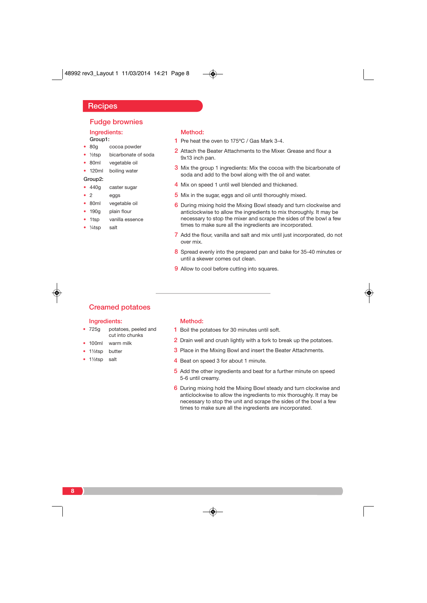**Recipes** 

## Ingredients: Fudge brownies

- Group1:
- 80g cocoa powder
- ½tsp bicarbonate of soda
- 80ml vegetable oil • 120ml boiling water
- 

# Group2:

- 440g caster sugar
- 2 eggs
- 80ml vegetable oil
- 190g plain flour
- 1tsp vanilla essence
- 1/<sub>4</sub>tsp salt

#### Method:

- 1 Pre heat the oven to 175°C / Gas Mark 3-4.
- 2 Attach the Beater Attachments to the Mixer. Grease and flour a 9x13 inch pan.
- 3 Mix the group 1 ingredients: Mix the cocoa with the bicarbonate of soda and add to the bowl along with the oil and water.
- 4 Mix on speed 1 until well blended and thickened.
- 5 Mix in the sugar, eggs and oil until thoroughly mixed.
- 6 During mixing hold the Mixing Bowl steady and turn clockwise and anticlockwise to allow the ingredients to mix thoroughly. It may be necessary to stop the mixer and scrape the sides of the bowl a few times to make sure all the ingredients are incorporated.
- 7 Add the flour, vanilla and salt and mix until just incorporated, do not over mix.
- 8 Spread evenly into the prepared pan and bake for 35-40 minutes or until a skewer comes out clean.
- 9 Allow to cool before cutting into squares.

# Creamed potatoes

#### Ingredients:

- 725g potatoes, peeled and cut into chunks
- 100ml warm milk
- 1½tsp butter
- 1½tsp salt

#### Method:

- 1 Boil the potatoes for 30 minutes until soft.
- 2 Drain well and crush lightly with a fork to break up the potatoes.
- 3 Place in the Mixing Bowl and insert the Beater Attachments.
- 4 Beat on speed 3 for about 1 minute.
- 5 Add the other ingredients and beat for a further minute on speed 5-6 until creamy.
- 6 During mixing hold the Mixing Bowl steady and turn clockwise and anticlockwise to allow the ingredients to mix thoroughly. It may be necessary to stop the unit and scrape the sides of the bowl a few times to make sure all the ingredients are incorporated.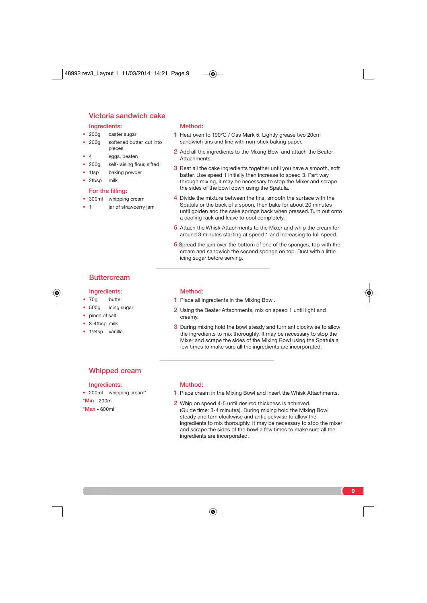## Ingredients: Victoria sandwich cake

- 200g caster sugar • 200g softened butter, cut into pieces
- 4 eggs, beaten
- 200g self-raising flour, sifted
- 1tsp baking powder
- 2tbsp milk

## For the filling:

- 300ml whipping cream
- 1 jar of strawberry jam

#### Method:

- 1 Heat oven to 190°C / Gas Mark 5. Lightly grease two 20cm sandwich tins and line with non-stick baking paper.
- 2 Add all the ingredients to the Mixing Bowl and attach the Beater Attachments.
- 3 Beat all the cake ingredients together until you have a smooth, soft batter. Use speed 1 initially then increase to speed 3. Part way through mixing, it may be necessary to stop the Mixer and scrape the sides of the bowl down using the Spatula.
- 4 Divide the mixture between the tins, smooth the surface with the Spatula or the back of a spoon, then bake for about 20 minutes until golden and the cake springs back when pressed. Turn out onto a cooling rack and leave to cool completely.
- 5 Attach the Whisk Attachments to the Mixer and whip the cream for around 3 minutes starting at speed 1 and increasing to full speed.
- 6 Spread the jam over the bottom of one of the sponges, top with the cream and sandwich the second sponge on top. Dust with a little icing sugar before serving.

# **Buttercream**

### Ingredients:

- 75g butter
- 500g icing sugar
- pinch of salt
- 3-4tbsp milk
- 1½tsp vanilla

#### Method:

- 1 Place all ingredients in the Mixing Bowl.
- 2 Using the Beater Attachments, mix on speed 1 until light and creamy.
- 3 During mixing hold the bowl steady and turn anticlockwise to allow the ingredients to mix thoroughly. It may be necessary to stop the Mixer and scrape the sides of the Mixing Bowl using the Spatula a few times to make sure all the ingredients are incorporated.

## Whipped cream

#### Ingredients:

• 200ml whipping cream\*

### \*Min - 200ml

\*Max - 600ml

### Method:

- 1 Place cream in the Mixing Bowl and insert the Whisk Attachments.
- 2 Whip on speed 4-5 until desired thickness is achieved. (Guide time: 3-4 minutes). During mixing hold the Mixing Bowl steady and turn clockwise and anticlockwise to allow the ingredients to mix thoroughly. It may be necessary to stop the mixer and scrape the sides of the bowl a few times to make sure all the ingredients are incorporated.

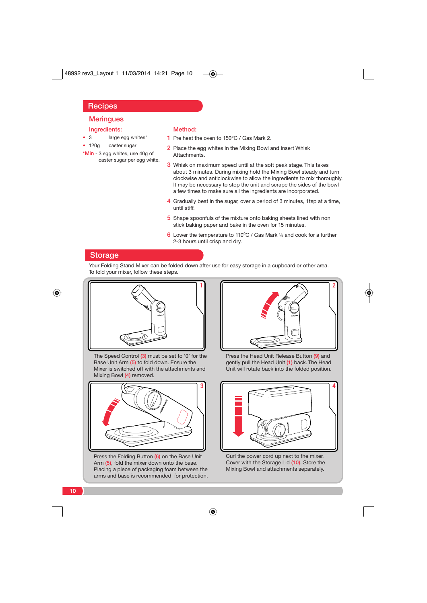# **Recipes**

# **Meringues**

## Ingredients:

• 120g caster sugar \*Min - 3 egg whites, use 40g of caster sugar per egg white.

• 3 large egg whites\*

## Method:

- 1 Pre heat the oven to 150°C / Gas Mark 2.
- 2 Place the egg whites in the Mixing Bowl and insert Whisk Attachments.
- Whisk on maximum speed until at the soft peak stage. This takes about 3 minutes. During mixing hold the Mixing Bowl steady and turn clockwise and anticlockwise to allow the ingredients to mix thoroughly. It may be necessary to stop the unit and scrape the sides of the bowl a few times to make sure all the ingredients are incorporated.
- 4 Gradually beat in the sugar, over a period of 3 minutes, 1tsp at a time, until stiff.
- 5 Shape spoonfuls of the mixture onto baking sheets lined with non stick baking paper and bake in the oven for 15 minutes.
- 6 Lower the temperature to 110°C / Gas Mark  $\frac{1}{4}$  and cook for a further 2-3 hours until crisp and dry.

## **Storage**

Your Folding Stand Mixer can be folded down after use for easy storage in a cupboard or other area. To fold your mixer, follow these steps.



The Speed Control (3) must be set to '0' for the Base Unit Arm (5) to fold down. Ensure the Mixer is switched off with the attachments and Mixing Bowl (4) removed.



Press the Folding Button (6) on the Base Unit Arm (5), fold the mixer down onto the base. Placing a piece of packaging foam between the arms and base is recommended for protection.



Press the Head Unit Release Button (9) and gently pull the Head Unit (1) back. The Head Unit will rotate back into the folded position.



Curl the power cord up next to the mixer. Cover with the Storage Lid (10). Store the Mixing Bowl and attachments separately.

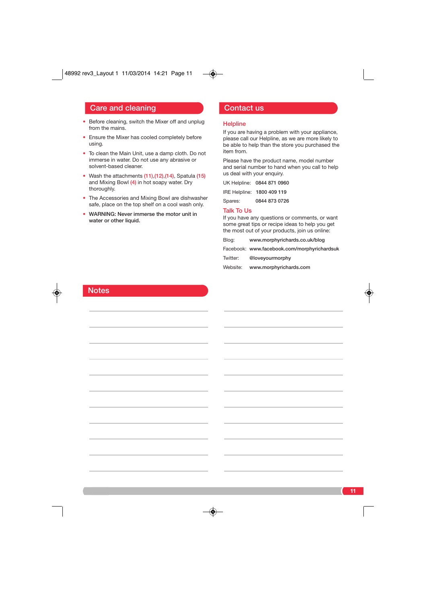# Care and cleaning Contact us

- Before cleaning, switch the Mixer off and unplug from the mains.
- Ensure the Mixer has cooled completely before using.
- To clean the Main Unit, use a damp cloth. Do not immerse in water. Do not use any abrasive or solvent-based cleaner.
- Wash the attachments (11),(12),(14), Spatula (15) and Mixing Bowl (4) in hot soapy water. Dry thoroughly.
- The Accessories and Mixing Bowl are dishwasher safe, place on the top shelf on a cool wash only.
- WARNING: Never immerse the motor unit in water or other liquid.

#### **Helpline**

If you are having a problem with your appliance, please call our Helpline, as we are more likely to be able to help than the store you purchased the item from.

Please have the product name, model number and serial number to hand when you call to help us deal with your enquiry.

IRE Helpline: 1800 409 119

Spares: 0844 873 0726

## Talk To Us

 $\circledast$ 

If you have any questions or comments, or want some great tips or recipe ideas to help you get the most out of your products, join us online:

Blog: www.morphyrichards.co.uk/blog

Facebook: www.facebook.com/morphyrichardsuk

**11**

Twitter: @loveyourmorphy

Website: www.morphyrichards.com

# **Notes**